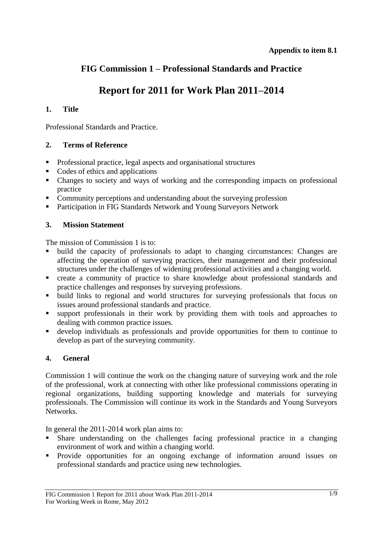# **FIG Commission 1 – Professional Standards and Practice**

# **Report for 2011 for Work Plan 2011–2014**

# **1. Title**

Professional Standards and Practice.

# **2. Terms of Reference**

- Professional practice, legal aspects and organisational structures
- Codes of ethics and applications
- Changes to society and ways of working and the corresponding impacts on professional practice
- Community perceptions and understanding about the surveying profession
- **Participation in FIG Standards Network and Young Surveyors Network**

# **3. Mission Statement**

The mission of Commission 1 is to:

- build the capacity of professionals to adapt to changing circumstances: Changes are affecting the operation of surveying practices, their management and their professional structures under the challenges of widening professional activities and a changing world.
- create a community of practice to share knowledge about professional standards and practice challenges and responses by surveying professions.
- build links to regional and world structures for surveying professionals that focus on issues around professional standards and practice.
- support professionals in their work by providing them with tools and approaches to dealing with common practice issues.
- develop individuals as professionals and provide opportunities for them to continue to develop as part of the surveying community.

# **4. General**

Commission 1 will continue the work on the changing nature of surveying work and the role of the professional, work at connecting with other like professional commissions operating in regional organizations, building supporting knowledge and materials for surveying professionals. The Commission will continue its work in the Standards and Young Surveyors Networks.

In general the 2011-2014 work plan aims to:

- Share understanding on the challenges facing professional practice in a changing environment of work and within a changing world.
- Provide opportunities for an ongoing exchange of information around issues on professional standards and practice using new technologies.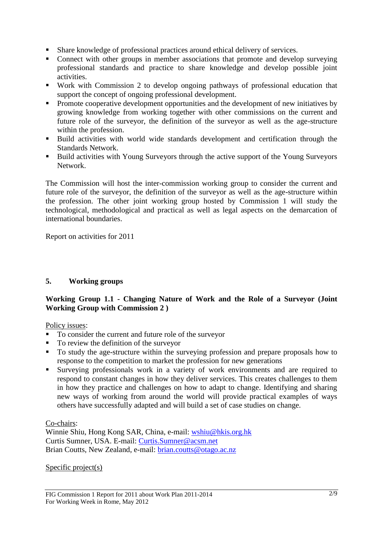- Share knowledge of professional practices around ethical delivery of services.
- Connect with other groups in member associations that promote and develop surveying professional standards and practice to share knowledge and develop possible joint activities.
- Work with Commission 2 to develop ongoing pathways of professional education that support the concept of ongoing professional development.
- **Promote cooperative development opportunities and the development of new initiatives by** growing knowledge from working together with other commissions on the current and future role of the surveyor, the definition of the surveyor as well as the age-structure within the profession.
- Build activities with world wide standards development and certification through the Standards Network.
- Build activities with Young Surveyors through the active support of the Young Surveyors Network.

The Commission will host the inter-commission working group to consider the current and future role of the surveyor, the definition of the surveyor as well as the age-structure within the profession. The other joint working group hosted by Commission 1 will study the technological, methodological and practical as well as legal aspects on the demarcation of international boundaries.

Report on activities for 2011

# **5. Working groups**

# **Working Group 1.1 - Changing Nature of Work and the Role of a Surveyor (Joint Working Group with Commission 2 )**

Policy issues:

- To consider the current and future role of the surveyor
- To review the definition of the surveyor
- To study the age-structure within the surveying profession and prepare proposals how to response to the competition to market the profession for new generations
- Surveying professionals work in a variety of work environments and are required to respond to constant changes in how they deliver services. This creates challenges to them in how they practice and challenges on how to adapt to change. Identifying and sharing new ways of working from around the world will provide practical examples of ways others have successfully adapted and will build a set of case studies on change.

Co-chairs:

Winnie Shiu, Hong Kong SAR, China, e-mail: [wshiu@hkis.org.hk](mailto:wshiu@hkis.org.hk)  Curtis Sumner, USA. E-mail: [Curtis.Sumner@acsm.net](mailto:Curtis.Sumner@acsm.net) Brian Coutts, New Zealand, e-mail: [brian.coutts@otago.ac.nz](mailto:brian.coutts@otago.ac.nz)

Specific project(s)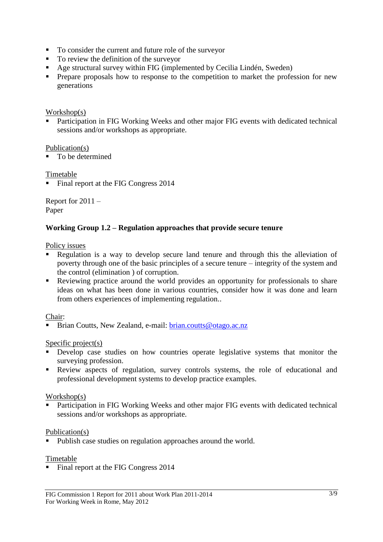- To consider the current and future role of the surveyor
- To review the definition of the surveyor
- Age structural survey within FIG (implemented by Cecilia Lindén, Sweden)
- **Prepare proposals how to response to the competition to market the profession for new** generations

### Workshop(s)

 Participation in FIG Working Weeks and other major FIG events with dedicated technical sessions and/or workshops as appropriate.

# Publication(s)

■ To be determined

# Timetable

Final report at the FIG Congress 2014

Report for 2011 – Paper

# **Working Group 1.2 – Regulation approaches that provide secure tenure**

Policy issues

- Regulation is a way to develop secure land tenure and through this the alleviation of poverty through one of the basic principles of a secure tenure – integrity of the system and the control (elimination ) of corruption.
- Reviewing practice around the world provides an opportunity for professionals to share ideas on what has been done in various countries, consider how it was done and learn from others experiences of implementing regulation..

# Chair:

■ Brian Coutts, New Zealand, e-mail: [brian.coutts@otago.ac.nz](mailto:brian.coutts@otago.ac.nz)

# Specific project(s)

- Develop case studies on how countries operate legislative systems that monitor the surveying profession.
- Review aspects of regulation, survey controls systems, the role of educational and professional development systems to develop practice examples.

# Workshop(s)

 Participation in FIG Working Weeks and other major FIG events with dedicated technical sessions and/or workshops as appropriate.

# Publication(s)

• Publish case studies on regulation approaches around the world.

#### Timetable

Final report at the FIG Congress 2014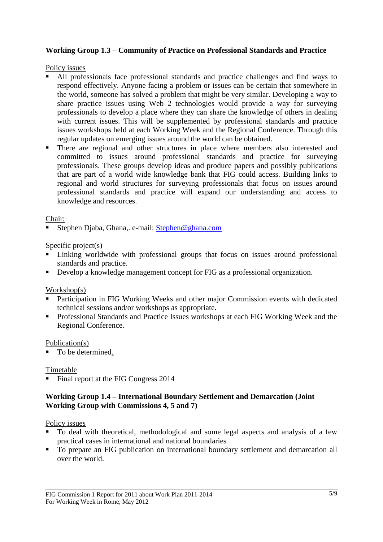# **Working Group 1.3 – Community of Practice on Professional Standards and Practice**

Policy issues

- All professionals face professional standards and practice challenges and find ways to respond effectively. Anyone facing a problem or issues can be certain that somewhere in the world, someone has solved a problem that might be very similar. Developing a way to share practice issues using Web 2 technologies would provide a way for surveying professionals to develop a place where they can share the knowledge of others in dealing with current issues. This will be supplemented by professional standards and practice issues workshops held at each Working Week and the Regional Conference. Through this regular updates on emerging issues around the world can be obtained.
- There are regional and other structures in place where members also interested and committed to issues around professional standards and practice for surveying professionals. These groups develop ideas and produce papers and possibly publications that are part of a world wide knowledge bank that FIG could access. Building links to regional and world structures for surveying professionals that focus on issues around professional standards and practice will expand our understanding and access to knowledge and resources.

#### Chair:

Stephen Djaba, Ghana,. e-mail: [Stephen@ghana.com](mailto:Stephen@ghana.com)

#### Specific project(s)

- Linking worldwide with professional groups that focus on issues around professional standards and practice.
- Develop a knowledge management concept for FIG as a professional organization.

# Workshop(s)

- Participation in FIG Working Weeks and other major Commission events with dedicated technical sessions and/or workshops as appropriate.
- Professional Standards and Practice Issues workshops at each FIG Working Week and the Regional Conference.

#### Publication(s)

To be determined.

#### Timetable

Final report at the FIG Congress 2014

# **Working Group 1.4 – International Boundary Settlement and Demarcation (Joint Working Group with Commissions 4, 5 and 7)**

#### Policy issues

- To deal with theoretical, methodological and some legal aspects and analysis of a few practical cases in international and national boundaries
- To prepare an FIG publication on international boundary settlement and demarcation all over the world.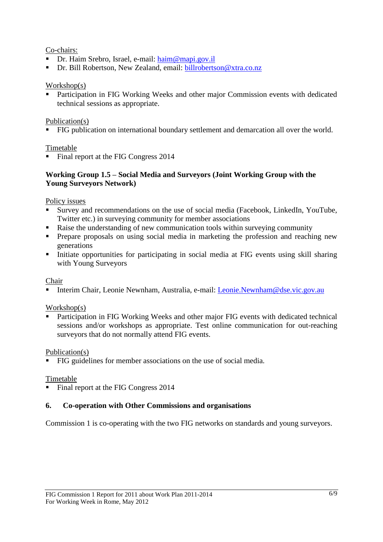# Co-chairs:

- Dr. Haim Srebro, Israel, e-mail: [haim@mapi.gov.il](mailto:haim@mapi.gov.il)
- Dr. Bill Robertson, New Zealand, email: [billrobertson@xtra.co.nz](mailto:billrobertson@xtra.co.nz)

# Workshop(s)

 Participation in FIG Working Weeks and other major Commission events with dedicated technical sessions as appropriate.

# Publication(s)

**FIG publication on international boundary settlement and demarcation all over the world.** 

Timetable

Final report at the FIG Congress 2014

# **Working Group 1.5 – Social Media and Surveyors (Joint Working Group with the Young Surveyors Network)**

# Policy issues

- Survey and recommendations on the use of social media (Facebook, LinkedIn, YouTube, Twitter etc.) in surveying community for member associations
- Raise the understanding of new communication tools within surveying community
- Prepare proposals on using social media in marketing the profession and reaching new generations
- Initiate opportunities for participating in social media at FIG events using skill sharing with Young Surveyors

# Chair

Interim Chair, Leonie Newnham, Australia, e-mail: [Leonie.Newnham@dse.vic.gov.au](mailto:Leonie.Newnham@dse.vic.gov.au)

# Workshop(s)

 Participation in FIG Working Weeks and other major FIG events with dedicated technical sessions and/or workshops as appropriate. Test online communication for out-reaching surveyors that do not normally attend FIG events.

# Publication(s)

FIG guidelines for member associations on the use of social media.

# Timetable

Final report at the FIG Congress 2014

# **6. Co-operation with Other Commissions and organisations**

Commission 1 is co-operating with the two FIG networks on standards and young surveyors.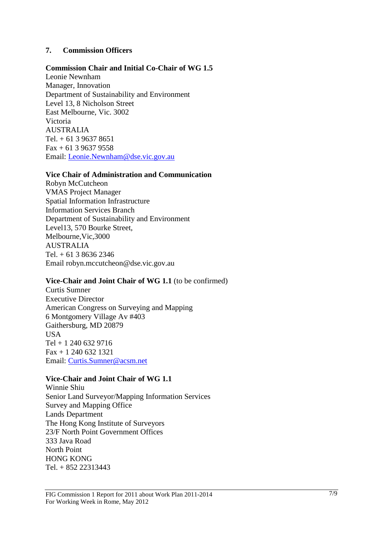# **7. Commission Officers**

#### **Commission Chair and Initial Co-Chair of WG 1.5**

Leonie Newnham Manager, Innovation Department of Sustainability and Environment Level 13, 8 Nicholson Street East Melbourne, Vic. 3002 Victoria AUSTRALIA Tel.  $+ 61$  3 9637 8651  $Fax + 61 3 9637 9558$ Email: [Leonie.Newnham@dse.vic.gov.au](mailto:Leonie.Newnham@dse.vic.gov.au)

#### **Vice Chair of Administration and Communication**

Robyn McCutcheon VMAS Project Manager Spatial Information Infrastructure Information Services Branch Department of Sustainability and Environment Level13, 570 Bourke Street, Melbourne,Vic,3000 AUSTRALIA Tel. + 61 3 8636 2346 Email robyn.mccutcheon@dse.vic.gov.au

#### **Vice-Chair and Joint Chair of WG 1.1** (to be confirmed)

Curtis Sumner Executive Director American Congress on Surveying and Mapping 6 Montgomery Village Av #403 Gaithersburg, MD 20879 USA Tel + 1 240 632 9716 Fax + 1 240 632 1321 Email: [Curtis.Sumner@acsm.net](mailto:Curtis.Sumner@acsm.net)

#### **Vice-Chair and Joint Chair of WG 1.1**

Winnie Shiu Senior Land Surveyor/Mapping Information Services Survey and Mapping Office Lands Department The Hong Kong Institute of Surveyors 23/F North Point Government Offices 333 Java Road North Point HONG KONG Tel. + 852 22313443